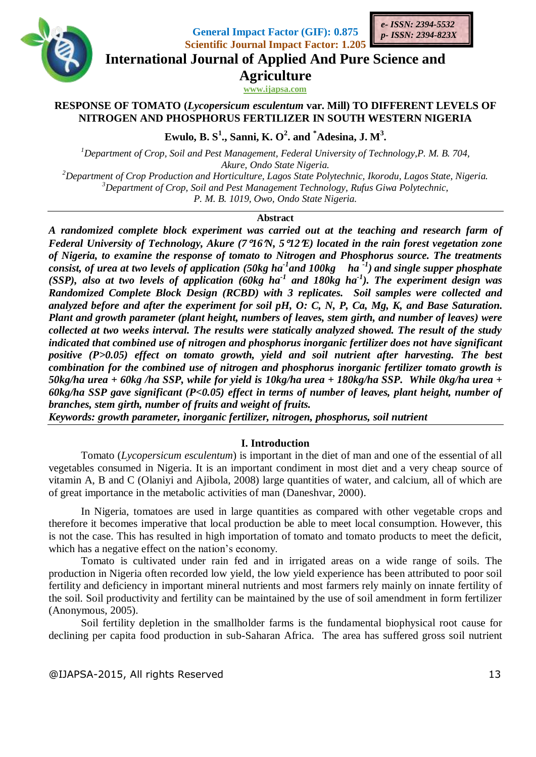

**General Impact Factor (GIF): 0.875 Scientific Journal Impact Factor: 1.205**



**International Journal of Applied And Pure Science and**

**Agriculture**

**www.ijapsa.com** 

# **RESPONSE OF TOMATO (***Lycopersicum esculentum* **var. Mill) TO DIFFERENT LEVELS OF NITROGEN AND PHOSPHORUS FERTILIZER IN SOUTH WESTERN NIGERIA**

**Ewulo, B. S<sup>1</sup> ., Sanni, K. O<sup>2</sup> . and \*Adesina, J. M<sup>3</sup> .**

*Department of Crop, Soil and Pest Management, Federal University of Technology,P. M. B. 704, Akure, Ondo State Nigeria. Department of Crop Production and Horticulture, Lagos State Polytechnic, Ikorodu, Lagos State, Nigeria. Department of Crop, Soil and Pest Management Technology, Rufus Giwa Polytechnic,* 

*P. M. B. 1019, Owo, Ondo State Nigeria.* 

### **Abstract**

*A randomized complete block experiment was carried out at the teaching and research farm of Federal University of Technology, Akure (716N, 512E) located in the rain forest vegetation zone of Nigeria, to examine the response of tomato to Nitrogen and Phosphorus source. The treatments consist, of urea at two levels of application (50kg ha-1 and 100kg ha -1 ) and single supper phosphate (SSP), also at two levels of application (60kg ha-1 and 180kg ha-1 ). The experiment design was Randomized Complete Block Design (RCBD) with 3 replicates. Soil samples were collected and analyzed before and after the experiment for soil pH, O: C, N, P, Ca, Mg, K, and Base Saturation. Plant and growth parameter (plant height, numbers of leaves, stem girth, and number of leaves) were collected at two weeks interval. The results were statically analyzed showed. The result of the study indicated that combined use of nitrogen and phosphorus inorganic fertilizer does not have significant positive (P>0.05) effect on tomato growth, yield and soil nutrient after harvesting. The best combination for the combined use of nitrogen and phosphorus inorganic fertilizer tomato growth is 50kg/ha urea + 60kg /ha SSP, while for yield is 10kg/ha urea + 180kg/ha SSP. While 0kg/ha urea + 60kg/ha SSP gave significant (P<0.05) effect in terms of number of leaves, plant height, number of branches, stem girth, number of fruits and weight of fruits.*

*Keywords: growth parameter, inorganic fertilizer, nitrogen, phosphorus, soil nutrient*

# **I. Introduction**

Tomato (*Lycopersicum esculentum*) is important in the diet of man and one of the essential of all vegetables consumed in Nigeria. It is an important condiment in most diet and a very cheap source of vitamin A, B and C (Olaniyi and Ajibola, 2008) large quantities of water, and calcium, all of which are of great importance in the metabolic activities of man (Daneshvar, 2000).

In Nigeria, tomatoes are used in large quantities as compared with other vegetable crops and therefore it becomes imperative that local production be able to meet local consumption. However, this is not the case. This has resulted in high importation of tomato and tomato products to meet the deficit, which has a negative effect on the nation's economy.

Tomato is cultivated under rain fed and in irrigated areas on a wide range of soils. The production in Nigeria often recorded low yield, the low yield experience has been attributed to poor soil fertility and deficiency in important mineral nutrients and most farmers rely mainly on innate fertility of the soil. Soil productivity and fertility can be maintained by the use of soil amendment in form fertilizer (Anonymous, 2005).

Soil fertility depletion in the smallholder farms is the fundamental biophysical root cause for declining per capita food production in sub-Saharan Africa. The area has suffered gross soil nutrient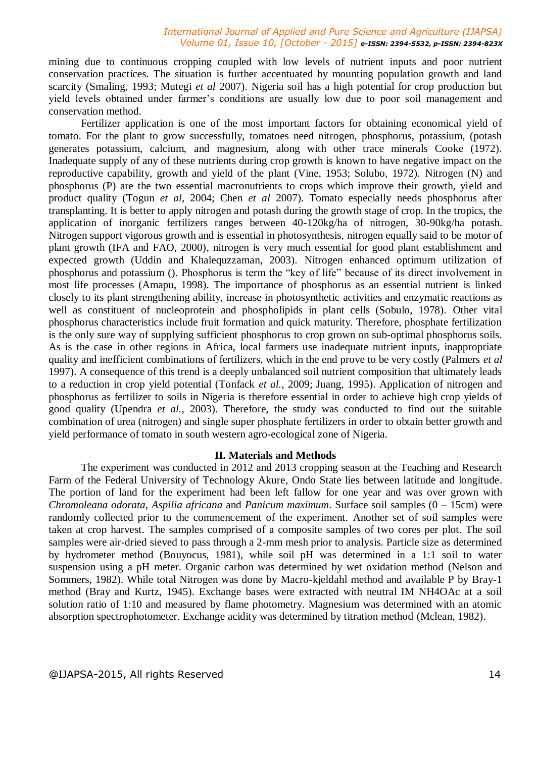mining due to continuous cropping coupled with low levels of nutrient inputs and poor nutrient conservation practices. The situation is further accentuated by mounting population growth and land scarcity (Smaling, 1993; Mutegi *et al* 2007). Nigeria soil has a high potential for crop production but yield levels obtained under farmer's conditions are usually low due to poor soil management and conservation method.

Fertilizer application is one of the most important factors for obtaining economical yield of tomato. For the plant to grow successfully, tomatoes need nitrogen, phosphorus, potassium, (potash generates potassium, calcium, and magnesium, along with other trace minerals Cooke (1972). Inadequate supply of any of these nutrients during crop growth is known to have negative impact on the reproductive capability, growth and yield of the plant (Vine, 1953; Solubo, 1972). Nitrogen (N) and phosphorus (P) are the two essential macronutrients to crops which improve their growth, yield and product quality (Togun *et al*, 2004; Chen *et al* 2007). Tomato especially needs phosphorus after transplanting. It is better to apply nitrogen and potash during the growth stage of crop. In the tropics, the application of inorganic fertilizers ranges between 40-120kg/ha of nitrogen, 30-90kg/ha potash. Nitrogen support vigorous growth and is essential in photosynthesis, nitrogen equally said to be motor of plant growth (IFA and FAO, 2000), nitrogen is very much essential for good plant establishment and expected growth (Uddin and Khalequzzaman, 2003). Nitrogen enhanced optimum utilization of phosphorus and potassium (). Phosphorus is term the "key of life" because of its direct involvement in most life processes (Amapu, 1998). The importance of phosphorus as an essential nutrient is linked closely to its plant strengthening ability, increase in photosynthetic activities and enzymatic reactions as well as constituent of nucleoprotein and phospholipids in plant cells (Sobulo, 1978). Other vital phosphorus characteristics include fruit formation and quick maturity. Therefore, phosphate fertilization is the only sure way of supplying sufficient phosphorus to crop grown on sub-optimal phosphorus soils. As is the case in other regions in Africa, local farmers use inadequate nutrient inputs, inappropriate quality and inefficient combinations of fertilizers, which in the end prove to be very costly (Palmers *et al*  1997). A consequence of this trend is a deeply unbalanced soil nutrient composition that ultimately leads to a reduction in crop yield potential (Tonfack *et al.*, 2009; Juang, 1995). Application of nitrogen and phosphorus as fertilizer to soils in Nigeria is therefore essential in order to achieve high crop yields of good quality (Upendra *et al.,* 2003). Therefore, the study was conducted to find out the suitable combination of urea (nitrogen) and single super phosphate fertilizers in order to obtain better growth and yield performance of tomato in south western agro-ecological zone of Nigeria.

## **II. Materials and Methods**

The experiment was conducted in 2012 and 2013 cropping season at the Teaching and Research Farm of the Federal University of Technology Akure, Ondo State lies between latitude and longitude. The portion of land for the experiment had been left fallow for one year and was over grown with *Chromoleana odorata*, *Aspilia africana* and *Panicum maximum*. Surface soil samples (0 – 15cm) were randomly collected prior to the commencement of the experiment. Another set of soil samples were taken at crop harvest. The samples comprised of a composite samples of two cores per plot. The soil samples were air-dried sieved to pass through a 2-mm mesh prior to analysis. Particle size as determined by hydrometer method (Bouyocus, 1981), while soil pH was determined in a 1:1 soil to water suspension using a pH meter. Organic carbon was determined by wet oxidation method (Nelson and Sommers, 1982). While total Nitrogen was done by Macro-kjeldahl method and available P by Bray-1 method (Bray and Kurtz, 1945). Exchange bases were extracted with neutral IM NH4OAc at a soil solution ratio of 1:10 and measured by flame photometry. Magnesium was determined with an atomic absorption spectrophotometer. Exchange acidity was determined by titration method (Mclean, 1982).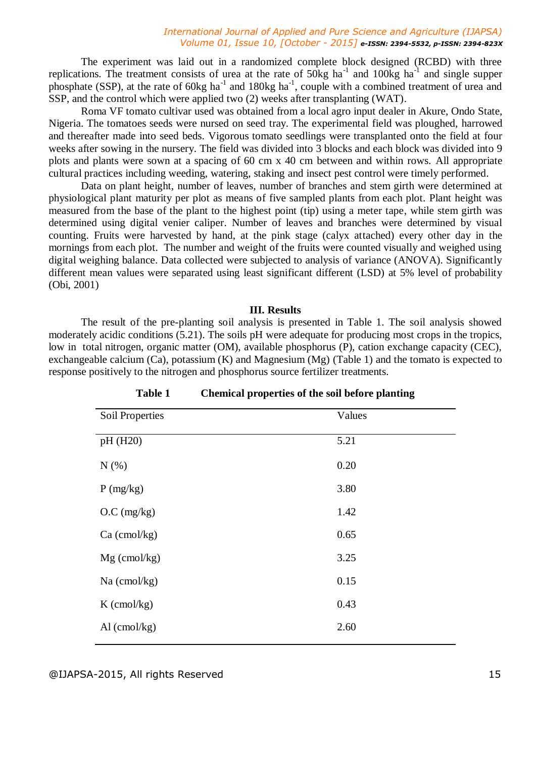The experiment was laid out in a randomized complete block designed (RCBD) with three replications. The treatment consists of urea at the rate of  $50kg$  ha<sup>-1</sup> and  $100kg$  ha<sup>-1</sup> and single supper phosphate (SSP), at the rate of 60kg ha<sup>-1</sup> and 180kg ha<sup>-1</sup>, couple with a combined treatment of urea and SSP, and the control which were applied two (2) weeks after transplanting (WAT).

Roma VF tomato cultivar used was obtained from a local agro input dealer in Akure, Ondo State, Nigeria. The tomatoes seeds were nursed on seed tray. The experimental field was ploughed, harrowed and thereafter made into seed beds. Vigorous tomato seedlings were transplanted onto the field at four weeks after sowing in the nursery. The field was divided into 3 blocks and each block was divided into 9 plots and plants were sown at a spacing of 60 cm x 40 cm between and within rows. All appropriate cultural practices including weeding, watering, staking and insect pest control were timely performed.

Data on plant height, number of leaves, number of branches and stem girth were determined at physiological plant maturity per plot as means of five sampled plants from each plot. Plant height was measured from the base of the plant to the highest point (tip) using a meter tape, while stem girth was determined using digital venier caliper. Number of leaves and branches were determined by visual counting. Fruits were harvested by hand, at the pink stage (calyx attached) every other day in the mornings from each plot. The number and weight of the fruits were counted visually and weighed using digital weighing balance. Data collected were subjected to analysis of variance (ANOVA). Significantly different mean values were separated using least significant different (LSD) at 5% level of probability (Obi, 2001)

### **III. Results**

The result of the pre-planting soil analysis is presented in Table 1. The soil analysis showed moderately acidic conditions (5.21). The soils pH were adequate for producing most crops in the tropics, low in total nitrogen, organic matter (OM), available phosphorus (P), cation exchange capacity (CEC), exchangeable calcium (Ca), potassium (K) and Magnesium (Mg) (Table 1) and the tomato is expected to response positively to the nitrogen and phosphorus source fertilizer treatments.

| Soil Properties | Values |
|-----------------|--------|
| pH (H20)        | 5.21   |
| N(%)            | 0.20   |
| P(mg/kg)        | 3.80   |
| O.C (mg/kg)     | 1.42   |
| $Ca$ (cmol/kg)  | 0.65   |
| $Mg$ (cmol/kg)  | 3.25   |
| Na (cmol/kg)    | 0.15   |
| $K$ (cmol/kg)   | 0.43   |
| $Al$ (cmol/kg)  | 2.60   |

**Table 1 Chemical properties of the soil before planting**

@IJAPSA-2015, All rights Reserved 15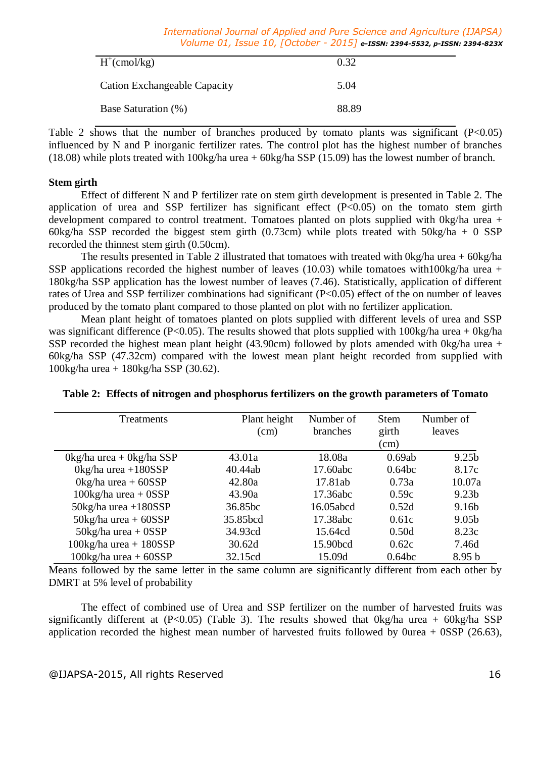| $H^+(cmol/kg)$                      | 0.32  |
|-------------------------------------|-------|
| <b>Cation Exchangeable Capacity</b> | 5.04  |
| Base Saturation (%)                 | 88.89 |

Table 2 shows that the number of branches produced by tomato plants was significant  $(P<0.05)$ influenced by N and P inorganic fertilizer rates. The control plot has the highest number of branches (18.08) while plots treated with 100kg/ha urea + 60kg/ha SSP (15.09) has the lowest number of branch.

### **Stem girth**

Effect of different N and P fertilizer rate on stem girth development is presented in Table 2. The application of urea and SSP fertilizer has significant effect (P<0.05) on the tomato stem girth development compared to control treatment. Tomatoes planted on plots supplied with 0kg/ha urea + 60kg/ha SSP recorded the biggest stem girth  $(0.73cm)$  while plots treated with  $50kg/ha + 0$  SSP recorded the thinnest stem girth (0.50cm).

The results presented in Table 2 illustrated that tomatoes with treated with 0kg/ha urea + 60kg/ha SSP applications recorded the highest number of leaves (10.03) while tomatoes with100kg/ha urea + 180kg/ha SSP application has the lowest number of leaves (7.46). Statistically, application of different rates of Urea and SSP fertilizer combinations had significant (P<0.05) effect of the on number of leaves produced by the tomato plant compared to those planted on plot with no fertilizer application.

Mean plant height of tomatoes planted on plots supplied with different levels of urea and SSP was significant difference (P<0.05). The results showed that plots supplied with  $100\text{kg/ha}$  urea + 0kg/ha SSP recorded the highest mean plant height (43.90cm) followed by plots amended with 0kg/ha urea + 60kg/ha SSP (47.32cm) compared with the lowest mean plant height recorded from supplied with 100kg/ha urea + 180kg/ha SSP (30.62).

| Treatments                                 | Plant height<br>(cm) | Number of<br>branches | <b>Stem</b><br>girth | Number of<br>leaves |
|--------------------------------------------|----------------------|-----------------------|----------------------|---------------------|
|                                            |                      |                       | (cm)                 |                     |
| $0\text{kg/ha}$ urea + $0\text{kg/ha}$ SSP | 43.01a               | 18.08a                | 0.69ab               | 9.25 <sub>b</sub>   |
| $0\text{kg/ha}$ urea +180SSP               | 40.44ab              | 17.60abc              | 0.64 <sub>bc</sub>   | 8.17c               |
| $0\text{kg/ha}$ urea + 60SSP               | 42.80a               | 17.81ab               | 0.73a                | 10.07a              |
| $100\text{kg/ha}$ urea + $0$ SSP           | 43.90a               | 17.36abc              | 0.59c                | 9.23 <sub>b</sub>   |
| $50\text{kg/ha}$ urea +180SSP              | 36.85bc              | 16.05abcd             | 0.52d                | 9.16 <sub>b</sub>   |
| $50\text{kg/ha}$ urea + 60SSP              | 35.85bcd             | 17.38abc              | 0.61c                | 9.05 <sub>b</sub>   |
| $50\text{kg/ha}$ urea + $0$ SSP            | 34.93cd              | 15.64cd               | 0.50d                | 8.23c               |
| $100\text{kg/ha}$ urea + $180$ SSP         | 30.62d               | 15.90bcd              | 0.62c                | 7.46d               |
| $100\text{kg/ha}$ urea + 60SSP             | 32.15cd              | 15.09d                | 0.64 <sub>bc</sub>   | 8.95 <sub>b</sub>   |

|  |  | Table 2: Effects of nitrogen and phosphorus fertilizers on the growth parameters of Tomato |  |
|--|--|--------------------------------------------------------------------------------------------|--|
|  |  |                                                                                            |  |

Means followed by the same letter in the same column are significantly different from each other by DMRT at 5% level of probability

The effect of combined use of Urea and SSP fertilizer on the number of harvested fruits was significantly different at  $(P<0.05)$  (Table 3). The results showed that  $0kg/ha$  urea +  $60kg/ha$  SSP application recorded the highest mean number of harvested fruits followed by 0urea + 0SSP (26.63),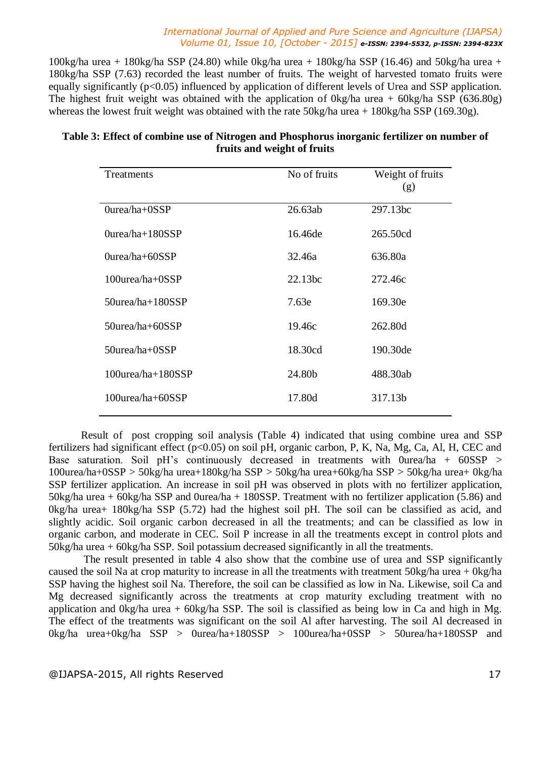100kg/ha urea + 180kg/ha SSP (24.80) while 0kg/ha urea + 180kg/ha SSP (16.46) and 50kg/ha urea + 180kg/ha SSP (7.63) recorded the least number of fruits. The weight of harvested tomato fruits were equally significantly  $(p<0.05)$  influenced by application of different levels of Urea and SSP application. The highest fruit weight was obtained with the application of  $0kg/ha$  urea +  $60kg/ha$  SSP (636.80g) whereas the lowest fruit weight was obtained with the rate 50kg/ha urea + 180kg/ha SSP (169.30g).

| 26.63ab<br>16.46de | 297.13bc<br>265.50cd |
|--------------------|----------------------|
|                    |                      |
|                    |                      |
|                    | 636.80a              |
| 22.13bc            | 272.46c              |
| 7.63e              | 169.30e              |
| 19.46c             | 262.80d              |
| 18.30cd            | 190.30de             |
| 24.80b             | 488.30ab             |
| 17.80d             | 317.13b              |
|                    | 32.46a               |

## **Table 3: Effect of combine use of Nitrogen and Phosphorus inorganic fertilizer on number of fruits and weight of fruits**

Result of post cropping soil analysis (Table 4) indicated that using combine urea and SSP fertilizers had significant effect ( $p<0.05$ ) on soil pH, organic carbon, P, K, Na, Mg, Ca, Al, H, CEC and Base saturation. Soil pH's continuously decreased in treatments with 0urea/ha + 60SSP > 100urea/ha+0SSP > 50kg/ha urea+180kg/ha SSP > 50kg/ha urea+60kg/ha SSP > 50kg/ha urea+ 0kg/ha SSP fertilizer application. An increase in soil pH was observed in plots with no fertilizer application, 50kg/ha urea + 60kg/ha SSP and 0urea/ha + 180SSP. Treatment with no fertilizer application (5.86) and 0kg/ha urea+ 180kg/ha SSP (5.72) had the highest soil pH. The soil can be classified as acid, and slightly acidic. Soil organic carbon decreased in all the treatments; and can be classified as low in organic carbon, and moderate in CEC. Soil P increase in all the treatments except in control plots and 50kg/ha urea + 60kg/ha SSP. Soil potassium decreased significantly in all the treatments.

The result presented in table 4 also show that the combine use of urea and SSP significantly caused the soil Na at crop maturity to increase in all the treatments with treatment 50kg/ha urea + 0kg/ha SSP having the highest soil Na. Therefore, the soil can be classified as low in Na. Likewise, soil Ca and Mg decreased significantly across the treatments at crop maturity excluding treatment with no application and 0kg/ha urea + 60kg/ha SSP. The soil is classified as being low in Ca and high in Mg. The effect of the treatments was significant on the soil Al after harvesting. The soil Al decreased in 0kg/ha urea+0kg/ha SSP > 0urea/ha+180SSP > 100urea/ha+0SSP > 50urea/ha+180SSP and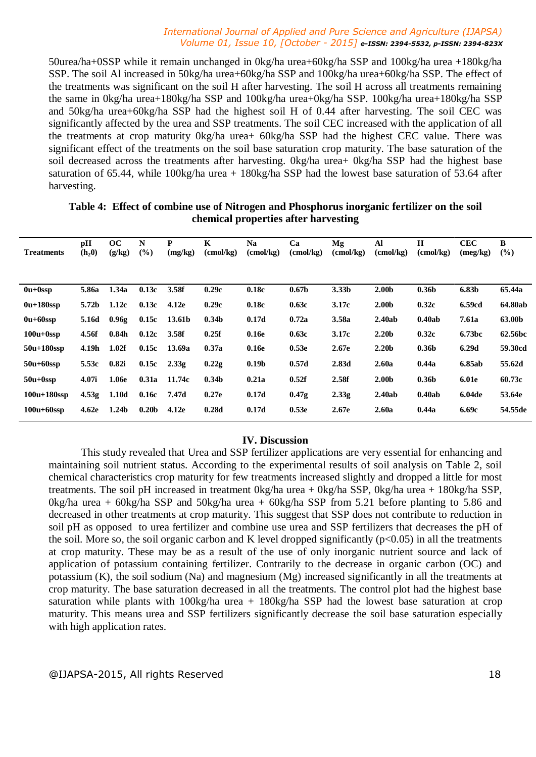50urea/ha+0SSP while it remain unchanged in 0kg/ha urea+60kg/ha SSP and 100kg/ha urea +180kg/ha SSP. The soil Al increased in 50kg/ha urea+60kg/ha SSP and 100kg/ha urea+60kg/ha SSP. The effect of the treatments was significant on the soil H after harvesting. The soil H across all treatments remaining the same in 0kg/ha urea+180kg/ha SSP and 100kg/ha urea+0kg/ha SSP. 100kg/ha urea+180kg/ha SSP and 50kg/ha urea+60kg/ha SSP had the highest soil H of 0.44 after harvesting. The soil CEC was significantly affected by the urea and SSP treatments. The soil CEC increased with the application of all the treatments at crop maturity 0kg/ha urea+ 60kg/ha SSP had the highest CEC value. There was significant effect of the treatments on the soil base saturation crop maturity. The base saturation of the soil decreased across the treatments after harvesting. 0kg/ha urea+ 0kg/ha SSP had the highest base saturation of 65.44, while 100kg/ha urea + 180kg/ha SSP had the lowest base saturation of 53.64 after harvesting.

| <b>Treatments</b> | pH<br>$(h_2 0)$   | oc<br>(g/kg)      | N<br>$(\%)$       | P<br>(mg/kg)   | K<br>(cmol/kg)    | <b>Na</b><br>$\text{(cmol/kg)}$ | Ca<br>$\text{(cmol/kg)}$ | Mg<br>(cmol/kg)   | Al<br>$\text{(cmol/kg)}$ | $\mathbf H$<br>(cmol/kg) | <b>CEC</b><br>(meg/kg) | B<br>$($ %) |
|-------------------|-------------------|-------------------|-------------------|----------------|-------------------|---------------------------------|--------------------------|-------------------|--------------------------|--------------------------|------------------------|-------------|
|                   |                   |                   |                   |                |                   |                                 |                          |                   |                          |                          |                        |             |
| $0u+0$ ssp        | 5.86a             | 1.34a             | 0.13c             | 3.58f          | 0.29c             | 0.18c                           | 0.67 <sub>b</sub>        | 3.33 <sub>b</sub> | 2.00 <sub>b</sub>        | 0.36 <sub>b</sub>        | 6.83b                  | 65.44a      |
| $0u+180$ ssp      | 5.72b             | 1.12c             | 0.13c             | 4.12e          | 0.29c             | 0.18c                           | 0.63c                    | 3.17c             | 2.00 <sub>b</sub>        | 0.32c                    | 6.59cd                 | 64.80ab     |
| $0u+60$ ssp       | 5.16d             | 0.96g             |                   | $0.15c$ 13.61b | 0.34 <sub>b</sub> | 0.17d                           | 0.72a                    | 3.58a             | 2.40ab                   | 0.40ab                   | 7.61a                  | 63.00b      |
| $100u+0$ ssp      | 4.56f             | 0.84 <sub>h</sub> | 0.12c             | 3.58f          | 0.25f             | 0.16e                           | 0.63c                    | 3.17c             | 2.20 <sub>b</sub>        | 0.32c                    | 6.73bc                 | 62.56bc     |
| $50u+180$ ssp     | 4.19h             | 1.02f             | 0.15c             | 13.69a         | 0.37a             | 0.16e                           | 0.53e                    | 2.67e             | 2.20 <sub>b</sub>        | 0.36 <sub>b</sub>        | 6.29d                  | 59.30cd     |
| $50u+60$ ssp      | 5.53c             | 0.82i             | 0.15c             | 2.33g          | 0.22g             | 0.19 <sub>b</sub>               | 0.57d                    | 2.83d             | 2.60a                    | 0.44a                    | 6.85ab                 | 55.62d      |
| $50u+0$ ssp       | 4.07i             | 1.06e             | 0.31a             | 11.74c         | 0.34 <sub>b</sub> | 0.21a                           | 0.52f                    | 2.58f             | 2.00 <sub>b</sub>        | 0.36 <sub>b</sub>        | <b>6.01e</b>           | 60.73c      |
| $100u+180ssp$     | 4.53 <sub>g</sub> | 1.10d             |                   | $0.16c$ 7.47d  | 0.27e             | 0.17d                           | 0.47 <sub>g</sub>        | 2.33 <sub>g</sub> | 2.40ab                   | 0.40ab                   | 6.04de                 | 53.64e      |
| $100u+60ssp$      | 4.62e             | 1.24 <sub>b</sub> | 0.20 <sub>b</sub> | 4.12e          | 0.28d             | 0.17d                           | 0.53e                    | 2.67e             | 2.60a                    | 0.44a                    | 6.69c                  | 54.55de     |
|                   |                   |                   |                   |                |                   |                                 |                          |                   |                          |                          |                        |             |

# **Table 4: Effect of combine use of Nitrogen and Phosphorus inorganic fertilizer on the soil chemical properties after harvesting**

# **IV. Discussion**

This study revealed that Urea and SSP fertilizer applications are very essential for enhancing and maintaining soil nutrient status. According to the experimental results of soil analysis on Table 2, soil chemical characteristics crop maturity for few treatments increased slightly and dropped a little for most treatments. The soil pH increased in treatment 0kg/ha urea + 0kg/ha SSP, 0kg/ha urea + 180kg/ha SSP, 0kg/ha urea + 60kg/ha SSP and 50kg/ha urea + 60kg/ha SSP from 5.21 before planting to 5.86 and decreased in other treatments at crop maturity. This suggest that SSP does not contribute to reduction in soil pH as opposed to urea fertilizer and combine use urea and SSP fertilizers that decreases the pH of the soil. More so, the soil organic carbon and K level dropped significantly ( $p<0.05$ ) in all the treatments at crop maturity. These may be as a result of the use of only inorganic nutrient source and lack of application of potassium containing fertilizer. Contrarily to the decrease in organic carbon (OC) and potassium (K), the soil sodium (Na) and magnesium (Mg) increased significantly in all the treatments at crop maturity. The base saturation decreased in all the treatments. The control plot had the highest base saturation while plants with 100kg/ha urea + 180kg/ha SSP had the lowest base saturation at crop maturity. This means urea and SSP fertilizers significantly decrease the soil base saturation especially with high application rates.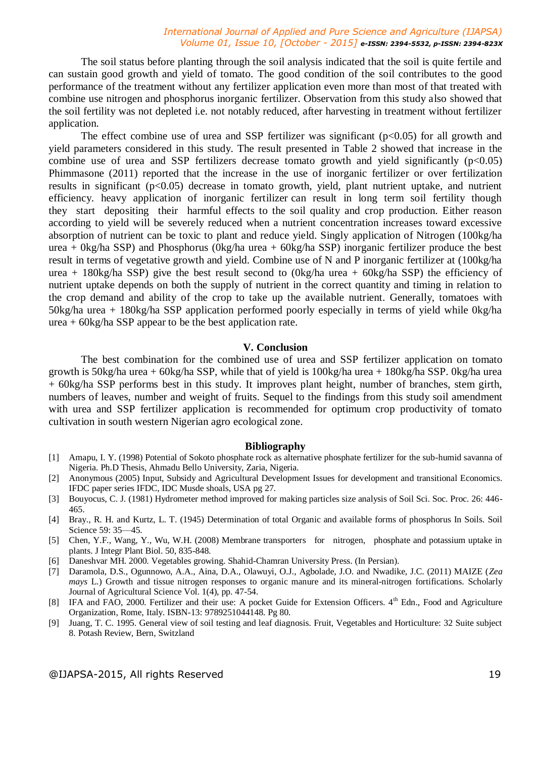The soil status before planting through the soil analysis indicated that the soil is quite fertile and can sustain good growth and yield of tomato. The good condition of the soil contributes to the good performance of the treatment without any fertilizer application even more than most of that treated with combine use nitrogen and phosphorus inorganic fertilizer. Observation from this study also showed that the soil fertility was not depleted i.e. not notably reduced, after harvesting in treatment without fertilizer application.

The effect combine use of urea and SSP fertilizer was significant  $(p<0.05)$  for all growth and yield parameters considered in this study. The result presented in Table 2 showed that increase in the combine use of urea and SSP fertilizers decrease tomato growth and yield significantly  $(p<0.05)$ Phimmasone (2011) reported that the increase in the use of inorganic fertilizer or over fertilization results in significant (p<0.05) decrease in tomato growth, yield, plant nutrient uptake, and nutrient efficiency. heavy application of inorganic fertilizer can result in long term soil fertility though they start depositing their harmful effects to the soil quality and crop production. Either reason according to yield will be severely reduced when a nutrient concentration increases toward excessive absorption of nutrient can be toxic to plant and reduce yield. Singly application of Nitrogen (100kg/ha urea + 0kg/ha SSP) and Phosphorus (0kg/ha urea + 60kg/ha SSP) inorganic fertilizer produce the best result in terms of vegetative growth and yield. Combine use of N and P inorganic fertilizer at (100kg/ha urea + 180kg/ha SSP) give the best result second to  $(0 \text{kg/ha} \text{ urea} + 60 \text{kg/ha} \text{ SSP})$  the efficiency of nutrient uptake depends on both the supply of nutrient in the correct quantity and timing in relation to the crop demand and ability of the crop to take up the available nutrient. Generally, tomatoes with 50kg/ha urea + 180kg/ha SSP application performed poorly especially in terms of yield while 0kg/ha  $u$ rea + 60kg/ha SSP appear to be the best application rate.

### **V. Conclusion**

The best combination for the combined use of urea and SSP fertilizer application on tomato growth is 50kg/ha urea + 60kg/ha SSP, while that of yield is 100kg/ha urea + 180kg/ha SSP. 0kg/ha urea + 60kg/ha SSP performs best in this study. It improves plant height, number of branches, stem girth, numbers of leaves, number and weight of fruits. Sequel to the findings from this study soil amendment with urea and SSP fertilizer application is recommended for optimum crop productivity of tomato cultivation in south western Nigerian agro ecological zone.

### **Bibliography**

- [1] Amapu, I. Y. (1998) Potential of Sokoto phosphate rock as alternative phosphate fertilizer for the sub-humid savanna of Nigeria. Ph.D Thesis, Ahmadu Bello University, Zaria, Nigeria.
- [2] Anonymous (2005) Input, Subsidy and Agricultural Development Issues for development and transitional Economics. IFDC paper series IFDC, IDC Musde shoals, USA pg 27.
- [3] Bouyocus, C. J. (1981) Hydrometer method improved for making particles size analysis of Soil Sci. Soc. Proc. 26: 446- 465.
- [4] Bray., R. H. and Kurtz, L. T. (1945) Determination of total Organic and available forms of phosphorus In Soils. Soil Science 59: 35—45.
- [5] Chen, Y.F., Wang, Y., Wu, W.H. (2008) Membrane transporters for nitrogen, phosphate and potassium uptake in plants. J Integr Plant Biol. 50, 835-848.
- [6] Daneshvar MH. 2000. Vegetables growing. Shahid-Chamran University Press. (In Persian).
- [7] Daramola, D.S., Ogunnowo, A.A., Aina, D.A., Olawuyi, O.J., Agbolade, J.O. and Nwadike, J.C. (2011) MAIZE (*Zea mays* L.) Growth and tissue nitrogen responses to organic manure and its mineral-nitrogen fortifications. Scholarly Journal of Agricultural Science Vol. 1(4), pp. 47-54.
- [8] IFA and FAO, 2000. Fertilizer and their use: A pocket Guide for Extension Officers. 4<sup>th</sup> Edn., Food and Agriculture Organization, Rome, Italy. ISBN-13: 9789251044148. Pg 80.
- [9] Juang, T. C. 1995. General view of soil testing and leaf diagnosis. Fruit, Vegetables and Horticulture: 32 Suite subject 8. Potash Review, Bern, Switzland